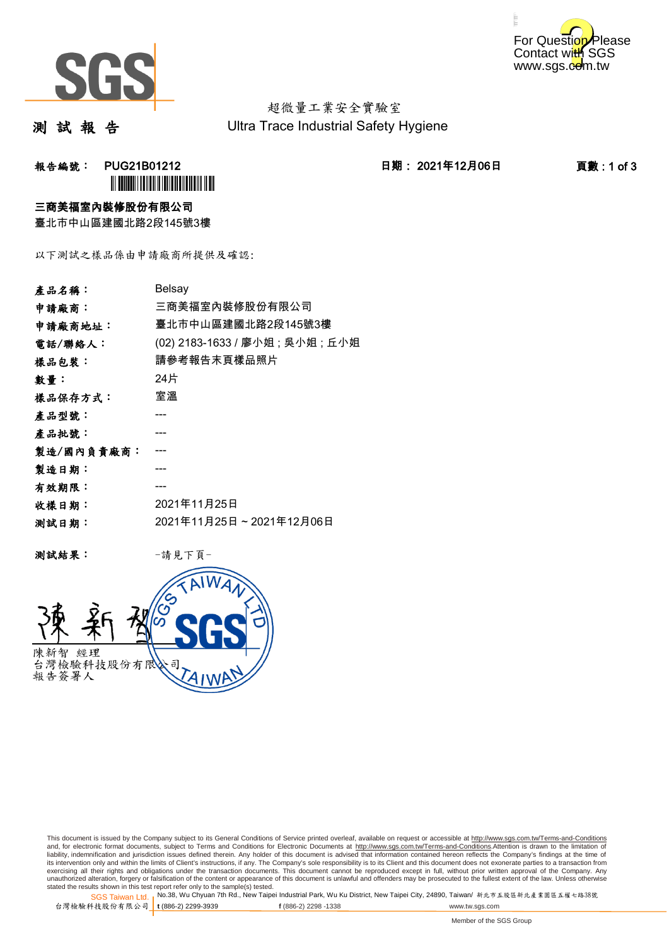



超微量工業安全實驗室 Ultra Trace Industrial Safety Hygiene

測 試 報 告

## 报告編號: PUG21B01212 2021年12月06日 日期: 2021年12月06日 2001年12月06日 2001年12月06日 2001年12月06日 2001年12月06日 2012年1 **ì** PUGLILI DI LI LI LI LI LI LI LI LI LI

### 三商美福室內裝修股份有限公司

臺北市中山區建國北路2段145號3樓

以下測試之樣品係由申請廠商所提供及確認:

| Belsay                           |
|----------------------------------|
| 三商美福室內裝修股份有限公司                   |
| 臺北市中山區建國北路2段145號3樓               |
| (02) 2183-1633 / 廖小姐 ; 吳小姐 ; 丘小姐 |
| 請參考報告末頁樣品照片                      |
| 24片                              |
| 室溫                               |
|                                  |
|                                  |
|                                  |
|                                  |
|                                  |
| 2021年11月25日                      |
| 2021年11月25日~2021年12月06日          |
|                                  |

测試結果: 一請見下頁



This document is issued by the Company subject to its General Conditions of Service printed overleaf, available on request or accessible at http://www.sgs.com.tw/Terms-and-Conditions and, for electronic format documents, subject to Terms and Conditions for Electronic Documents at <u>http://www.sgs.com.tw/Terms-and-Conditions</u>.Attention is drawn to the limitation of<br>liability, indemnification and jurisdic exercising all their rights and obligations under the transaction documents. This document cannot be reproduced except in full, without prior written approval of the Company. Any<br>unauthorized alteration, forgery or falsifi

SGS Taiwan Ltd. 1 stated the results shown in this test report refer only to the sample(s) tested.<br>Stated the results shown in this test report refer only to the sample(s) tested.

台灣檢驗科技股份有限公司

**t** (886-2) 2299-3939 **f** (886-2) 2298 -1338 www.tw.sgs.com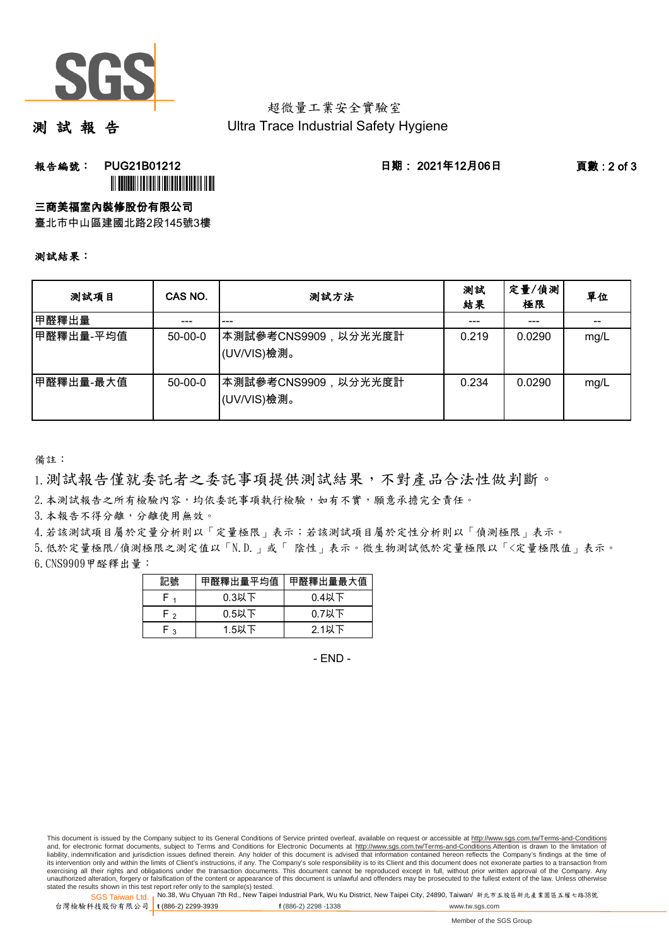

### 超微量工業安全實驗室 Ultra Trace Industrial Safety Hygiene

測 試 報 告

報告編號: PUG21B01212 日期: 2021年12月06日 頁數 : 2 of 3

# **ì**III **Built IIIIIIII** III IIIIII IIIII III

三商美福室內裝修股份有限公司

臺北市中山區建國北路2段145號3樓

#### 測試結果:

| 测試項目      | CAS NO.   | 测試方法                                | 測試<br>結果 | 定量/偵測<br>極限 | 單位   |
|-----------|-----------|-------------------------------------|----------|-------------|------|
| 甲醛釋出量     | ---       | ---                                 |          | ---         | $-$  |
| 甲醛釋出量-平均值 | $50-00-0$ | ┃本測試參考CNS9909,以分光光度計<br>(UV/VIS)檢測。 | 0.219    | 0.0290      | mg/L |
| 甲醛釋出量-最大值 | $50-00-0$ | ┃本測試參考CNS9909,以分光光度計<br>(UV/VIS)檢測。 | 0.234    | 0.0290      | mg/L |

備註:

1.測試報告僅就委託者之委託事項提供測試結果,不對產品合法性做判斷。

2.本測試報告之所有檢驗內容,均依委託事項執行檢驗,如有不實,願意承擔完全責任。

3. 本報告不得分離,分離使用無效。

4.若該測試項目屬於定量分析則以「定量極限」表示;若該測試項目屬於定性分析則以「偵測極限」表示。

6.CNS9909甲醛釋出量: 5.低於定量極限/偵測極限之測定值以「N.D.」或「 陰性」表示。微生物測試低於定量極限以「<定量極限值」表示。

| 記號  | 甲醛釋出量平均值 | 甲醛釋出量最大值 |
|-----|----------|----------|
|     | $0.3$ 以下 | $0.4$ 以下 |
| - Η | $0.5$ 以下 | $0.7$ 以下 |
| م - | $1.5$ 以下 | $2.1$ 以下 |

- END -

This document is issued by the Company subject to its General Conditions of Service printed overleaf, available on request or accessible at http://www.sgs.com.tw/Terms-and-Conditions and, for electronic format documents, subject to Terms and Conditions for Electronic Documents at http://www.sgs.com.tw/Terms-and-Conditions.Attention is drawn to the limitation of liability, indemnification and jurisdiction issues defined therein. Any holder of this document is advised that information contained hereon reflects the Company's findings at the time of<br>its intervention only and within t exercising all their rights and obligations under the transaction documents. This document cannot be reproduced except in full, without prior written approval of the Company. Any<br>unauthorized alteration, forgery or falsifi

SGS Taiwan Ltd. 1 stated the results shown in this test report refer only to the sample(s) tested.<br>Stated the results shown in this test report refer only to the sample(s) tested.

台灣檢驗科技股份有限公司

**t** (886-2) 2299-3939 **f** (886-2) 2298 -1338 www.tw.sgs.com